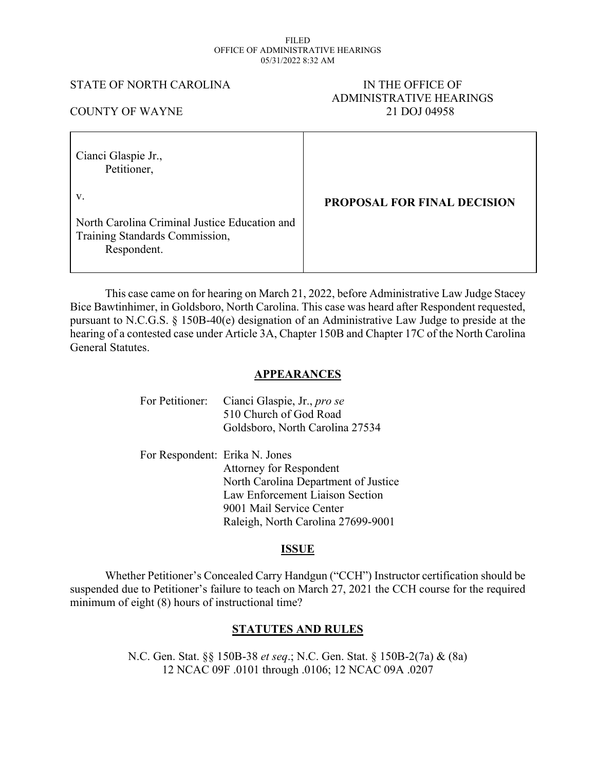#### FILED OFFICE OF ADMINISTRATIVE HEARINGS 05/31/2022 8:32 AM

#### STATE OF NORTH CAROLINA IN THE OFFICE OF

# ADMINISTRATIVE HEARINGS COUNTY OF WAYNE 21 DOJ 04958

| Cianci Glaspie Jr.,<br>Petitioner,                                                             |                                    |
|------------------------------------------------------------------------------------------------|------------------------------------|
| V.                                                                                             | <b>PROPOSAL FOR FINAL DECISION</b> |
| North Carolina Criminal Justice Education and<br>Training Standards Commission,<br>Respondent. |                                    |

This case came on for hearing on March 21, 2022, before Administrative Law Judge Stacey Bice Bawtinhimer, in Goldsboro, North Carolina. This case was heard after Respondent requested, pursuant to N.C.G.S. § 150B-40(e) designation of an Administrative Law Judge to preside at the hearing of a contested case under Article 3A, Chapter 150B and Chapter 17C of the North Carolina General Statutes.

## **APPEARANCES**

| For Petitioner:                | Cianci Glaspie, Jr., pro se<br>510 Church of God Road<br>Goldsboro, North Carolina 27534 |
|--------------------------------|------------------------------------------------------------------------------------------|
| For Respondent: Erika N. Jones |                                                                                          |
|                                | <b>Attorney for Respondent</b>                                                           |
|                                | North Carolina Department of Justice                                                     |
|                                | Law Enforcement Liaison Section                                                          |
|                                | 9001 Mail Service Center                                                                 |
|                                | Raleigh, North Carolina 27699-9001                                                       |

## **ISSUE**

Whether Petitioner's Concealed Carry Handgun ("CCH") Instructor certification should be suspended due to Petitioner's failure to teach on March 27, 2021 the CCH course for the required minimum of eight (8) hours of instructional time?

## **STATUTES AND RULES**

N.C. Gen. Stat. §§ 150B-38 *et seq*.; N.C. Gen. Stat. § 150B-2(7a) & (8a) 12 NCAC 09F .0101 through .0106; 12 NCAC 09A .0207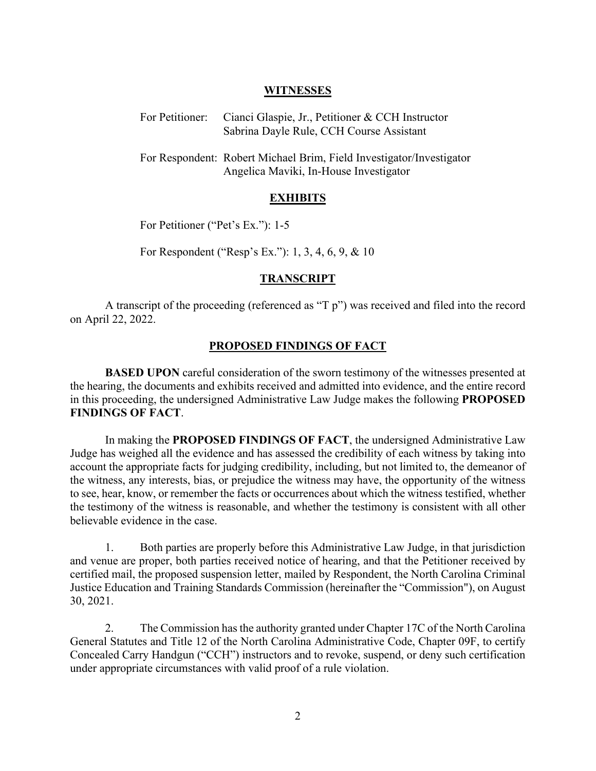#### **WITNESSES**

| For Petitioner: Cianci Glaspie, Jr., Petitioner & CCH Instructor |
|------------------------------------------------------------------|
| Sabrina Dayle Rule, CCH Course Assistant                         |

For Respondent: Robert Michael Brim, Field Investigator/Investigator Angelica Maviki, In-House Investigator

#### **EXHIBITS**

For Petitioner ("Pet's Ex."): 1-5

For Respondent ("Resp's Ex."): 1, 3, 4, 6, 9, & 10

#### **TRANSCRIPT**

A transcript of the proceeding (referenced as "T p") was received and filed into the record on April 22, 2022.

#### **PROPOSED FINDINGS OF FACT**

**BASED UPON** careful consideration of the sworn testimony of the witnesses presented at the hearing, the documents and exhibits received and admitted into evidence, and the entire record in this proceeding, the undersigned Administrative Law Judge makes the following **PROPOSED FINDINGS OF FACT**.

In making the **PROPOSED FINDINGS OF FACT**, the undersigned Administrative Law Judge has weighed all the evidence and has assessed the credibility of each witness by taking into account the appropriate facts for judging credibility, including, but not limited to, the demeanor of the witness, any interests, bias, or prejudice the witness may have, the opportunity of the witness to see, hear, know, or remember the facts or occurrences about which the witness testified, whether the testimony of the witness is reasonable, and whether the testimony is consistent with all other believable evidence in the case.

1. Both parties are properly before this Administrative Law Judge, in that jurisdiction and venue are proper, both parties received notice of hearing, and that the Petitioner received by certified mail, the proposed suspension letter, mailed by Respondent, the North Carolina Criminal Justice Education and Training Standards Commission (hereinafter the "Commission"), on August 30, 2021.

2. The Commission hasthe authority granted under Chapter 17C of the North Carolina General Statutes and Title 12 of the North Carolina Administrative Code, Chapter 09F, to certify Concealed Carry Handgun ("CCH") instructors and to revoke, suspend, or deny such certification under appropriate circumstances with valid proof of a rule violation.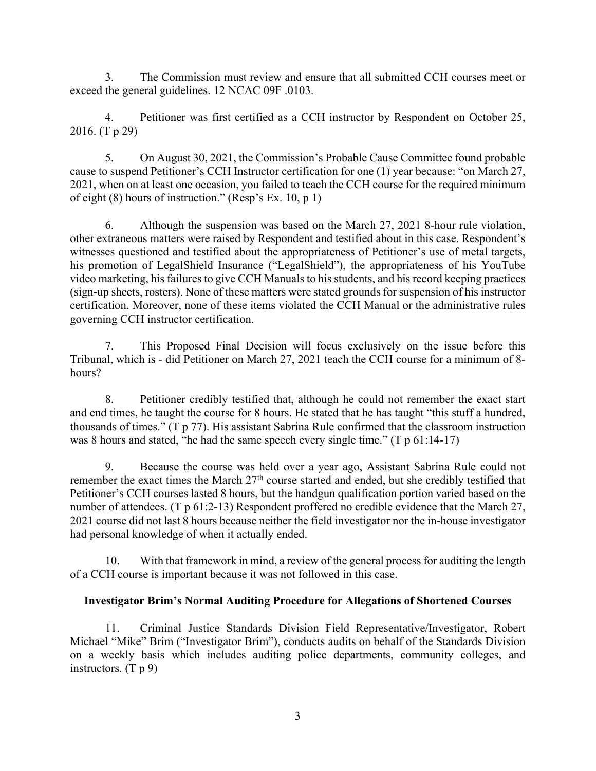3. The Commission must review and ensure that all submitted CCH courses meet or exceed the general guidelines. 12 NCAC 09F .0103.

4. Petitioner was first certified as a CCH instructor by Respondent on October 25, 2016. (T p 29)

5. On August 30, 2021, the Commission's Probable Cause Committee found probable cause to suspend Petitioner's CCH Instructor certification for one (1) year because: "on March 27, 2021, when on at least one occasion, you failed to teach the CCH course for the required minimum of eight (8) hours of instruction." (Resp's Ex. 10, p 1)

6. Although the suspension was based on the March 27, 2021 8-hour rule violation, other extraneous matters were raised by Respondent and testified about in this case. Respondent's witnesses questioned and testified about the appropriateness of Petitioner's use of metal targets, his promotion of LegalShield Insurance ("LegalShield"), the appropriateness of his YouTube video marketing, his failures to give CCH Manuals to his students, and his record keeping practices (sign-up sheets, rosters). None of these matters were stated grounds for suspension of his instructor certification. Moreover, none of these items violated the CCH Manual or the administrative rules governing CCH instructor certification.

7. This Proposed Final Decision will focus exclusively on the issue before this Tribunal, which is - did Petitioner on March 27, 2021 teach the CCH course for a minimum of 8 hours?

8. Petitioner credibly testified that, although he could not remember the exact start and end times, he taught the course for 8 hours. He stated that he has taught "this stuff a hundred, thousands of times." (T p 77). His assistant Sabrina Rule confirmed that the classroom instruction was 8 hours and stated, "he had the same speech every single time." (T p 61:14-17)

9. Because the course was held over a year ago, Assistant Sabrina Rule could not remember the exact times the March 27th course started and ended, but she credibly testified that Petitioner's CCH courses lasted 8 hours, but the handgun qualification portion varied based on the number of attendees. (T p 61:2-13) Respondent proffered no credible evidence that the March 27, 2021 course did not last 8 hours because neither the field investigator nor the in-house investigator had personal knowledge of when it actually ended.

10. With that framework in mind, a review of the general process for auditing the length of a CCH course is important because it was not followed in this case.

## **Investigator Brim's Normal Auditing Procedure for Allegations of Shortened Courses**

11. Criminal Justice Standards Division Field Representative/Investigator, Robert Michael "Mike" Brim ("Investigator Brim"), conducts audits on behalf of the Standards Division on a weekly basis which includes auditing police departments, community colleges, and instructors. (T p 9)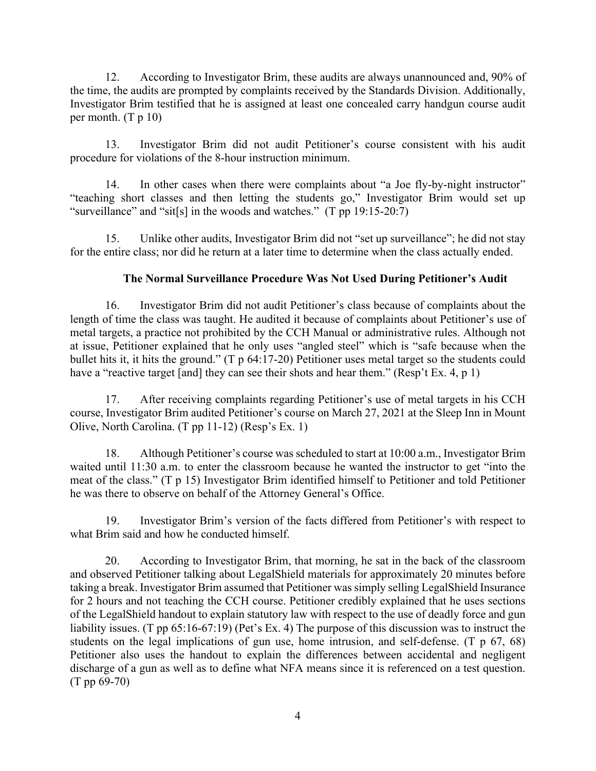12. According to Investigator Brim, these audits are always unannounced and, 90% of the time, the audits are prompted by complaints received by the Standards Division. Additionally, Investigator Brim testified that he is assigned at least one concealed carry handgun course audit per month. (T p 10)

13. Investigator Brim did not audit Petitioner's course consistent with his audit procedure for violations of the 8-hour instruction minimum.

14. In other cases when there were complaints about "a Joe fly-by-night instructor" "teaching short classes and then letting the students go," Investigator Brim would set up "surveillance" and "sit[s] in the woods and watches." (T pp 19:15-20:7)

15. Unlike other audits, Investigator Brim did not "set up surveillance"; he did not stay for the entire class; nor did he return at a later time to determine when the class actually ended.

## **The Normal Surveillance Procedure Was Not Used During Petitioner's Audit**

16. Investigator Brim did not audit Petitioner's class because of complaints about the length of time the class was taught. He audited it because of complaints about Petitioner's use of metal targets, a practice not prohibited by the CCH Manual or administrative rules. Although not at issue, Petitioner explained that he only uses "angled steel" which is "safe because when the bullet hits it, it hits the ground." (T p 64:17-20) Petitioner uses metal target so the students could have a "reactive target [and] they can see their shots and hear them." (Resp't Ex. 4, p 1)

17. After receiving complaints regarding Petitioner's use of metal targets in his CCH course, Investigator Brim audited Petitioner's course on March 27, 2021 at the Sleep Inn in Mount Olive, North Carolina. (T pp 11-12) (Resp's Ex. 1)

18. Although Petitioner's course was scheduled to start at 10:00 a.m., Investigator Brim waited until 11:30 a.m. to enter the classroom because he wanted the instructor to get "into the meat of the class." (T p 15) Investigator Brim identified himself to Petitioner and told Petitioner he was there to observe on behalf of the Attorney General's Office.

19. Investigator Brim's version of the facts differed from Petitioner's with respect to what Brim said and how he conducted himself.

20. According to Investigator Brim, that morning, he sat in the back of the classroom and observed Petitioner talking about LegalShield materials for approximately 20 minutes before taking a break. Investigator Brim assumed that Petitioner wassimply selling LegalShield Insurance for 2 hours and not teaching the CCH course. Petitioner credibly explained that he uses sections of the LegalShield handout to explain statutory law with respect to the use of deadly force and gun liability issues. (T pp 65:16-67:19) (Pet's Ex. 4) The purpose of this discussion was to instruct the students on the legal implications of gun use, home intrusion, and self-defense. (T p 67, 68) Petitioner also uses the handout to explain the differences between accidental and negligent discharge of a gun as well as to define what NFA means since it is referenced on a test question. (T pp 69-70)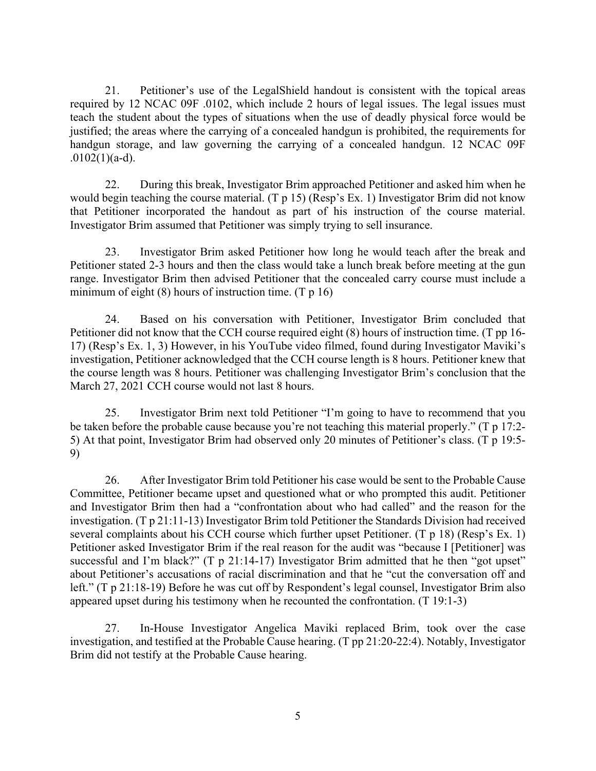21. Petitioner's use of the LegalShield handout is consistent with the topical areas required by 12 NCAC 09F .0102, which include 2 hours of legal issues. The legal issues must teach the student about the types of situations when the use of deadly physical force would be justified; the areas where the carrying of a concealed handgun is prohibited, the requirements for handgun storage, and law governing the carrying of a concealed handgun. 12 NCAC 09F  $.0102(1)(a-d)$ .

22. During this break, Investigator Brim approached Petitioner and asked him when he would begin teaching the course material. (T p 15) (Resp's Ex. 1) Investigator Brim did not know that Petitioner incorporated the handout as part of his instruction of the course material. Investigator Brim assumed that Petitioner was simply trying to sell insurance.

23. Investigator Brim asked Petitioner how long he would teach after the break and Petitioner stated 2-3 hours and then the class would take a lunch break before meeting at the gun range. Investigator Brim then advised Petitioner that the concealed carry course must include a minimum of eight  $(8)$  hours of instruction time.  $(T p 16)$ 

24. Based on his conversation with Petitioner, Investigator Brim concluded that Petitioner did not know that the CCH course required eight (8) hours of instruction time. (T pp 16- 17) (Resp's Ex. 1, 3) However, in his YouTube video filmed, found during Investigator Maviki's investigation, Petitioner acknowledged that the CCH course length is 8 hours. Petitioner knew that the course length was 8 hours. Petitioner was challenging Investigator Brim's conclusion that the March 27, 2021 CCH course would not last 8 hours.

25. Investigator Brim next told Petitioner "I'm going to have to recommend that you be taken before the probable cause because you're not teaching this material properly." (T p 17:2- 5) At that point, Investigator Brim had observed only 20 minutes of Petitioner's class. (T p 19:5- 9)

26. After Investigator Brim told Petitioner his case would be sent to the Probable Cause Committee, Petitioner became upset and questioned what or who prompted this audit. Petitioner and Investigator Brim then had a "confrontation about who had called" and the reason for the investigation. (T p 21:11-13) Investigator Brim told Petitioner the Standards Division had received several complaints about his CCH course which further upset Petitioner. (T p 18) (Resp's Ex. 1) Petitioner asked Investigator Brim if the real reason for the audit was "because I [Petitioner] was successful and I'm black?" (T p 21:14-17) Investigator Brim admitted that he then "got upset" about Petitioner's accusations of racial discrimination and that he "cut the conversation off and left." (T p 21:18-19) Before he was cut off by Respondent's legal counsel, Investigator Brim also appeared upset during his testimony when he recounted the confrontation. (T 19:1-3)

27. In-House Investigator Angelica Maviki replaced Brim, took over the case investigation, and testified at the Probable Cause hearing. (T pp 21:20-22:4). Notably, Investigator Brim did not testify at the Probable Cause hearing.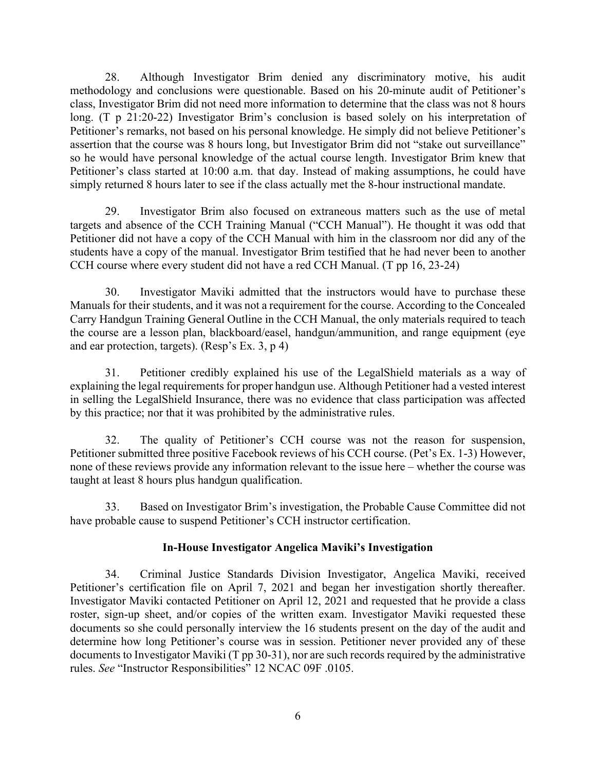28. Although Investigator Brim denied any discriminatory motive, his audit methodology and conclusions were questionable. Based on his 20-minute audit of Petitioner's class, Investigator Brim did not need more information to determine that the class was not 8 hours long. (T p 21:20-22) Investigator Brim's conclusion is based solely on his interpretation of Petitioner's remarks, not based on his personal knowledge. He simply did not believe Petitioner's assertion that the course was 8 hours long, but Investigator Brim did not "stake out surveillance" so he would have personal knowledge of the actual course length. Investigator Brim knew that Petitioner's class started at 10:00 a.m. that day. Instead of making assumptions, he could have simply returned 8 hours later to see if the class actually met the 8-hour instructional mandate.

29. Investigator Brim also focused on extraneous matters such as the use of metal targets and absence of the CCH Training Manual ("CCH Manual"). He thought it was odd that Petitioner did not have a copy of the CCH Manual with him in the classroom nor did any of the students have a copy of the manual. Investigator Brim testified that he had never been to another CCH course where every student did not have a red CCH Manual. (T pp 16, 23-24)

30. Investigator Maviki admitted that the instructors would have to purchase these Manuals for their students, and it was not a requirement for the course. According to the Concealed Carry Handgun Training General Outline in the CCH Manual, the only materials required to teach the course are a lesson plan, blackboard/easel, handgun/ammunition, and range equipment (eye and ear protection, targets). (Resp's Ex. 3, p 4)

31. Petitioner credibly explained his use of the LegalShield materials as a way of explaining the legal requirements for proper handgun use. Although Petitioner had a vested interest in selling the LegalShield Insurance, there was no evidence that class participation was affected by this practice; nor that it was prohibited by the administrative rules.

32. The quality of Petitioner's CCH course was not the reason for suspension, Petitioner submitted three positive Facebook reviews of his CCH course. (Pet's Ex. 1-3) However, none of these reviews provide any information relevant to the issue here – whether the course was taught at least 8 hours plus handgun qualification.

33. Based on Investigator Brim's investigation, the Probable Cause Committee did not have probable cause to suspend Petitioner's CCH instructor certification.

## **In-House Investigator Angelica Maviki's Investigation**

34. Criminal Justice Standards Division Investigator, Angelica Maviki, received Petitioner's certification file on April 7, 2021 and began her investigation shortly thereafter. Investigator Maviki contacted Petitioner on April 12, 2021 and requested that he provide a class roster, sign-up sheet, and/or copies of the written exam. Investigator Maviki requested these documents so she could personally interview the 16 students present on the day of the audit and determine how long Petitioner's course was in session. Petitioner never provided any of these documents to Investigator Maviki (T pp 30-31), nor are such records required by the administrative rules. *See* "Instructor Responsibilities" 12 NCAC 09F .0105.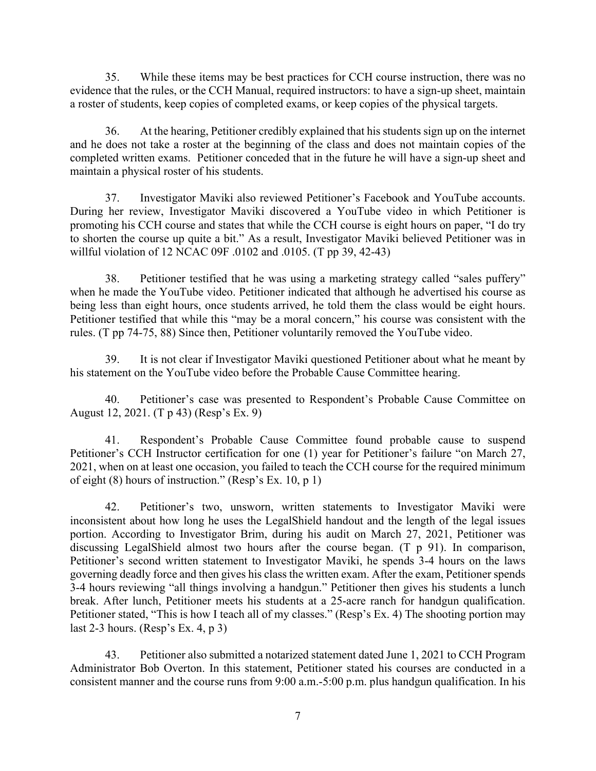35. While these items may be best practices for CCH course instruction, there was no evidence that the rules, or the CCH Manual, required instructors: to have a sign-up sheet, maintain a roster of students, keep copies of completed exams, or keep copies of the physical targets.

36. At the hearing, Petitioner credibly explained that his students sign up on the internet and he does not take a roster at the beginning of the class and does not maintain copies of the completed written exams. Petitioner conceded that in the future he will have a sign-up sheet and maintain a physical roster of his students.

37. Investigator Maviki also reviewed Petitioner's Facebook and YouTube accounts. During her review, Investigator Maviki discovered a YouTube video in which Petitioner is promoting his CCH course and states that while the CCH course is eight hours on paper, "I do try to shorten the course up quite a bit." As a result, Investigator Maviki believed Petitioner was in willful violation of 12 NCAC 09F .0102 and .0105. (T pp 39, 42-43)

38. Petitioner testified that he was using a marketing strategy called "sales puffery" when he made the YouTube video. Petitioner indicated that although he advertised his course as being less than eight hours, once students arrived, he told them the class would be eight hours. Petitioner testified that while this "may be a moral concern," his course was consistent with the rules. (T pp 74-75, 88) Since then, Petitioner voluntarily removed the YouTube video.

39. It is not clear if Investigator Maviki questioned Petitioner about what he meant by his statement on the YouTube video before the Probable Cause Committee hearing.

40. Petitioner's case was presented to Respondent's Probable Cause Committee on August 12, 2021. (T p 43) (Resp's Ex. 9)

41. Respondent's Probable Cause Committee found probable cause to suspend Petitioner's CCH Instructor certification for one (1) year for Petitioner's failure "on March 27, 2021, when on at least one occasion, you failed to teach the CCH course for the required minimum of eight (8) hours of instruction." (Resp's Ex. 10, p 1)

42. Petitioner's two, unsworn, written statements to Investigator Maviki were inconsistent about how long he uses the LegalShield handout and the length of the legal issues portion. According to Investigator Brim, during his audit on March 27, 2021, Petitioner was discussing LegalShield almost two hours after the course began. (T p 91). In comparison, Petitioner's second written statement to Investigator Maviki, he spends 3-4 hours on the laws governing deadly force and then gives his class the written exam. After the exam, Petitioner spends 3-4 hours reviewing "all things involving a handgun." Petitioner then gives his students a lunch break. After lunch, Petitioner meets his students at a 25-acre ranch for handgun qualification. Petitioner stated, "This is how I teach all of my classes." (Resp's Ex. 4) The shooting portion may last 2-3 hours. (Resp's Ex. 4, p 3)

43. Petitioner also submitted a notarized statement dated June 1, 2021 to CCH Program Administrator Bob Overton. In this statement, Petitioner stated his courses are conducted in a consistent manner and the course runs from 9:00 a.m.-5:00 p.m. plus handgun qualification. In his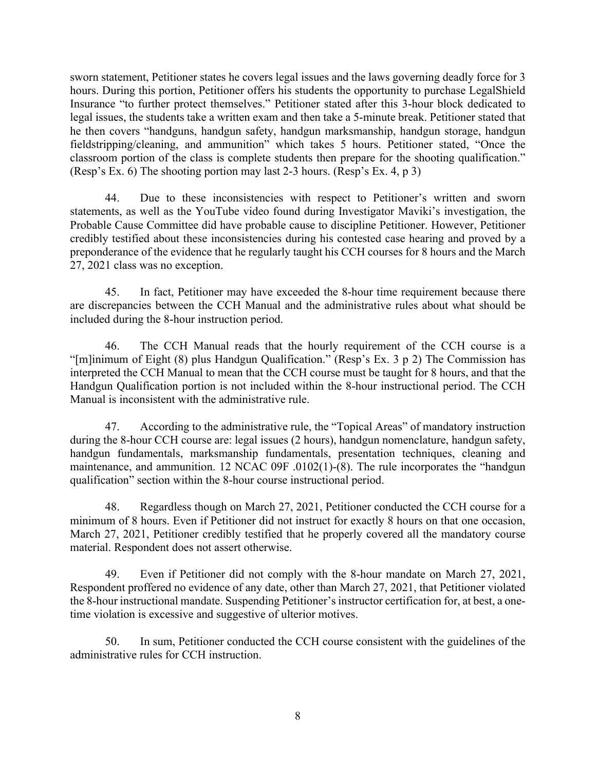sworn statement, Petitioner states he covers legal issues and the laws governing deadly force for 3 hours. During this portion, Petitioner offers his students the opportunity to purchase LegalShield Insurance "to further protect themselves." Petitioner stated after this 3-hour block dedicated to legal issues, the students take a written exam and then take a 5-minute break. Petitioner stated that he then covers "handguns, handgun safety, handgun marksmanship, handgun storage, handgun fieldstripping/cleaning, and ammunition" which takes 5 hours. Petitioner stated, "Once the classroom portion of the class is complete students then prepare for the shooting qualification." (Resp's Ex. 6) The shooting portion may last 2-3 hours. (Resp's Ex. 4, p 3)

44. Due to these inconsistencies with respect to Petitioner's written and sworn statements, as well as the YouTube video found during Investigator Maviki's investigation, the Probable Cause Committee did have probable cause to discipline Petitioner. However, Petitioner credibly testified about these inconsistencies during his contested case hearing and proved by a preponderance of the evidence that he regularly taught his CCH courses for 8 hours and the March 27, 2021 class was no exception.

45. In fact, Petitioner may have exceeded the 8-hour time requirement because there are discrepancies between the CCH Manual and the administrative rules about what should be included during the 8-hour instruction period.

46. The CCH Manual reads that the hourly requirement of the CCH course is a "[m]inimum of Eight (8) plus Handgun Qualification." (Resp's Ex. 3 p 2) The Commission has interpreted the CCH Manual to mean that the CCH course must be taught for 8 hours, and that the Handgun Qualification portion is not included within the 8-hour instructional period. The CCH Manual is inconsistent with the administrative rule.

47. According to the administrative rule, the "Topical Areas" of mandatory instruction during the 8-hour CCH course are: legal issues (2 hours), handgun nomenclature, handgun safety, handgun fundamentals, marksmanship fundamentals, presentation techniques, cleaning and maintenance, and ammunition. 12 NCAC 09F .0102(1)-(8). The rule incorporates the "handgun qualification" section within the 8-hour course instructional period.

48. Regardless though on March 27, 2021, Petitioner conducted the CCH course for a minimum of 8 hours. Even if Petitioner did not instruct for exactly 8 hours on that one occasion, March 27, 2021, Petitioner credibly testified that he properly covered all the mandatory course material. Respondent does not assert otherwise.

49. Even if Petitioner did not comply with the 8-hour mandate on March 27, 2021, Respondent proffered no evidence of any date, other than March 27, 2021, that Petitioner violated the 8-hour instructional mandate. Suspending Petitioner's instructor certification for, at best, a onetime violation is excessive and suggestive of ulterior motives.

50. In sum, Petitioner conducted the CCH course consistent with the guidelines of the administrative rules for CCH instruction.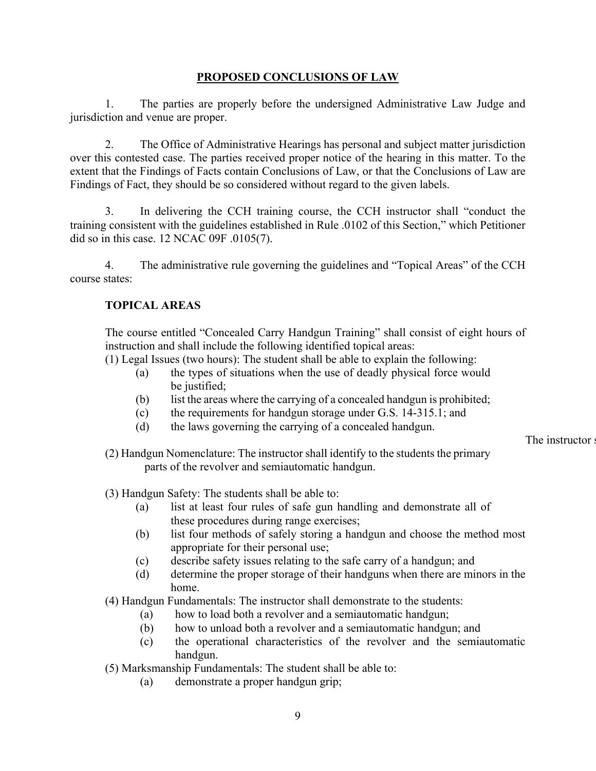## **PROPOSED CONCLUSIONS OF LAW**

1. The parties are properly before the undersigned Administrative Law Judge and jurisdiction and venue are proper.

2. The Office of Administrative Hearings has personal and subject matter jurisdiction over this contested case. The parties received proper notice of the hearing in this matter. To the extent that the Findings of Facts contain Conclusions of Law, or that the Conclusions of Law are Findings of Fact, they should be so considered without regard to the given labels.

3. In delivering the CCH training course, the CCH instructor shall "conduct the training consistent with the guidelines established in Rule .0102 of this Section," which Petitioner did so in this case. 12 NCAC 09F .0105(7).

4. The administrative rule governing the guidelines and "Topical Areas" of the CCH course states:

## **TOPICAL AREAS**

The course entitled "Concealed Carry Handgun Training" shall consist of eight hours of instruction and shall include the following identified topical areas:

(1) Legal Issues (two hours): The student shall be able to explain the following:

- (a) the types of situations when the use of deadly physical force would be justified;
- (b) list the areas where the carrying of a concealed handgun is prohibited;
- (c) the requirements for handgun storage under G.S. 14-315.1; and
- (d) the laws governing the carrying of a concealed handgun.

The instructor s

(2) Handgun Nomenclature: The instructor shall identify to the students the primary parts of the revolver and semiautomatic handgun.

(3) Handgun Safety: The students shall be able to:

- (a) list at least four rules of safe gun handling and demonstrate all of these procedures during range exercises;
- (b) list four methods of safely storing a handgun and choose the method most appropriate for their personal use;
- (c) describe safety issues relating to the safe carry of a handgun; and
- (d) determine the proper storage of their handguns when there are minors in the home.

(4) Handgun Fundamentals: The instructor shall demonstrate to the students:

- (a) how to load both a revolver and a semiautomatic handgun;
- (b) how to unload both a revolver and a semiautomatic handgun; and
- (c) the operational characteristics of the revolver and the semiautomatic handgun.

(5) Marksmanship Fundamentals: The student shall be able to:

(a) demonstrate a proper handgun grip;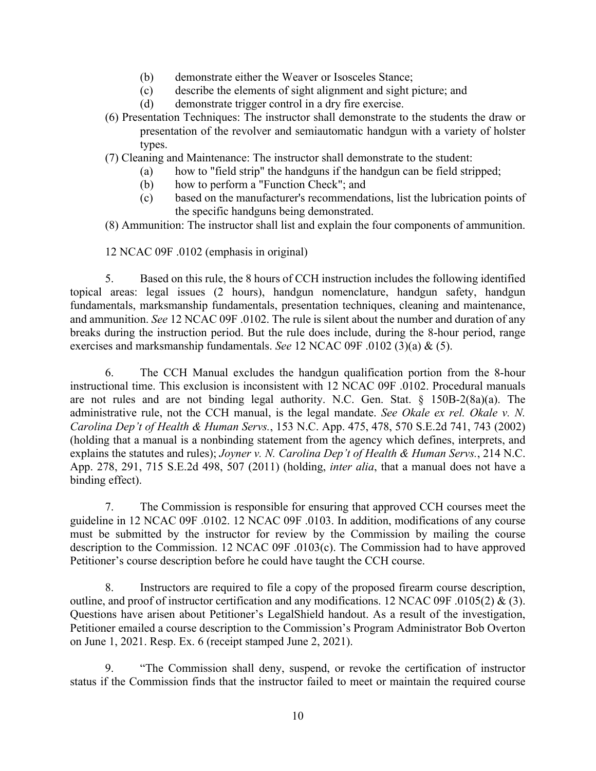- (b) demonstrate either the Weaver or Isosceles Stance;
- (c) describe the elements of sight alignment and sight picture; and
- (d) demonstrate trigger control in a dry fire exercise.
- (6) Presentation Techniques: The instructor shall demonstrate to the students the draw or presentation of the revolver and semiautomatic handgun with a variety of holster types.

(7) Cleaning and Maintenance: The instructor shall demonstrate to the student:

- (a) how to "field strip" the handguns if the handgun can be field stripped;
- (b) how to perform a "Function Check"; and
- (c) based on the manufacturer's recommendations, list the lubrication points of the specific handguns being demonstrated.

(8) Ammunition: The instructor shall list and explain the four components of ammunition.

12 NCAC 09F .0102 (emphasis in original)

5. Based on this rule, the 8 hours of CCH instruction includes the following identified topical areas: legal issues (2 hours), handgun nomenclature, handgun safety, handgun fundamentals, marksmanship fundamentals, presentation techniques, cleaning and maintenance, and ammunition. *See* 12 NCAC 09F .0102. The rule is silent about the number and duration of any breaks during the instruction period. But the rule does include, during the 8-hour period, range exercises and marksmanship fundamentals. *See* 12 NCAC 09F .0102 (3)(a) & (5).

6. The CCH Manual excludes the handgun qualification portion from the 8-hour instructional time. This exclusion is inconsistent with 12 NCAC 09F .0102. Procedural manuals are not rules and are not binding legal authority. N.C. Gen. Stat. § 150B-2(8a)(a). The administrative rule, not the CCH manual, is the legal mandate. *See Okale ex rel. Okale v. N. Carolina Dep't of Health & Human Servs.*, 153 N.C. App. 475, 478, 570 S.E.2d 741, 743 (2002) (holding that a manual is a nonbinding statement from the agency which defines, interprets, and explains the statutes and rules); *Joyner v. N. Carolina Dep't of Health & Human Servs.*, 214 N.C. App. 278, 291, 715 S.E.2d 498, 507 (2011) (holding, *inter alia*, that a manual does not have a binding effect).

7. The Commission is responsible for ensuring that approved CCH courses meet the guideline in 12 NCAC 09F .0102. 12 NCAC 09F .0103. In addition, modifications of any course must be submitted by the instructor for review by the Commission by mailing the course description to the Commission. 12 NCAC 09F .0103(c). The Commission had to have approved Petitioner's course description before he could have taught the CCH course.

8. Instructors are required to file a copy of the proposed firearm course description, outline, and proof of instructor certification and any modifications. 12 NCAC 09F .0105(2) & (3). Questions have arisen about Petitioner's LegalShield handout. As a result of the investigation, Petitioner emailed a course description to the Commission's Program Administrator Bob Overton on June 1, 2021. Resp. Ex. 6 (receipt stamped June 2, 2021).

9. "The Commission shall deny, suspend, or revoke the certification of instructor status if the Commission finds that the instructor failed to meet or maintain the required course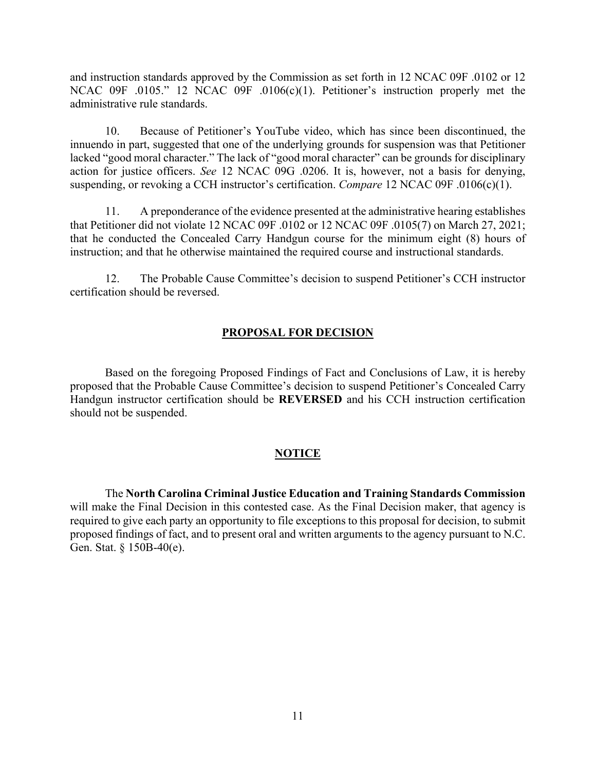and instruction standards approved by the Commission as set forth in 12 NCAC 09F .0102 or 12 NCAC 09F .0105." 12 NCAC 09F .0106(c)(1). Petitioner's instruction properly met the administrative rule standards.

10. Because of Petitioner's YouTube video, which has since been discontinued, the innuendo in part, suggested that one of the underlying grounds for suspension was that Petitioner lacked "good moral character." The lack of "good moral character" can be grounds for disciplinary action for justice officers. *See* 12 NCAC 09G .0206. It is, however, not a basis for denying, suspending, or revoking a CCH instructor's certification. *Compare* 12 NCAC 09F .0106(c)(1).

11. A preponderance of the evidence presented at the administrative hearing establishes that Petitioner did not violate 12 NCAC 09F .0102 or 12 NCAC 09F .0105(7) on March 27, 2021; that he conducted the Concealed Carry Handgun course for the minimum eight (8) hours of instruction; and that he otherwise maintained the required course and instructional standards.

12. The Probable Cause Committee's decision to suspend Petitioner's CCH instructor certification should be reversed.

#### **PROPOSAL FOR DECISION**

Based on the foregoing Proposed Findings of Fact and Conclusions of Law, it is hereby proposed that the Probable Cause Committee's decision to suspend Petitioner's Concealed Carry Handgun instructor certification should be **REVERSED** and his CCH instruction certification should not be suspended.

## **NOTICE**

The **North Carolina Criminal Justice Education and Training Standards Commission** will make the Final Decision in this contested case. As the Final Decision maker, that agency is required to give each party an opportunity to file exceptions to this proposal for decision, to submit proposed findings of fact, and to present oral and written arguments to the agency pursuant to N.C. Gen. Stat. § 150B-40(e).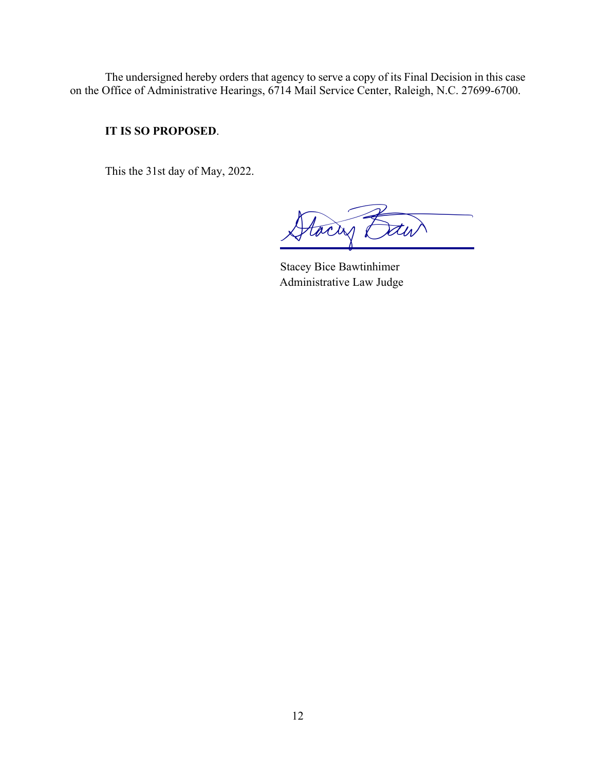The undersigned hereby orders that agency to serve a copy of its Final Decision in this case on the Office of Administrative Hearings, 6714 Mail Service Center, Raleigh, N.C. 27699-6700.

## **IT IS SO PROPOSED**.

This the 31st day of May, 2022.

tacas

Stacey Bice Bawtinhimer Administrative Law Judge